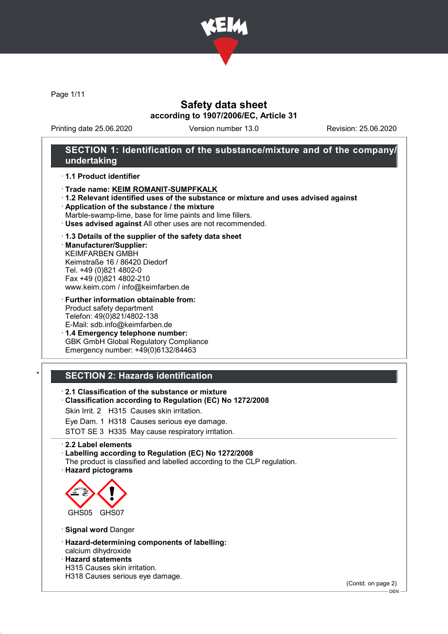

Page 1/11

## Safety data sheet according to 1907/2006/EC, Article 31

Printing date 25.06.2020 Version number 13.0 Revision: 25.06.2020

## SECTION 1: Identification of the substance/mixture and of the company/ undertaking

### · 1.1 Product identifier

- · Trade name: KEIM ROMANIT-SUMPFKALK
- · 1.2 Relevant identified uses of the substance or mixture and uses advised against
- · Application of the substance / the mixture
- Marble-swamp-lime, base for lime paints and lime fillers.
- · Uses advised against All other uses are not recommended.

### · 1.3 Details of the supplier of the safety data sheet

· Manufacturer/Supplier: KEIMFARBEN GMBH Keimstraße 16 / 86420 Diedorf Tel. +49 (0)821 4802-0 Fax +49 (0)821 4802-210 www.keim.com / info@keimfarben.de

· Further information obtainable from: Product safety department Telefon: 49(0)821/4802-138 E-Mail: sdb.info@keimfarben.de

· 1.4 Emergency telephone number: GBK GmbH Global Regulatory Compliance Emergency number: +49(0)6132/84463

## **SECTION 2: Hazards identification**

· 2.1 Classification of the substance or mixture

· Classification according to Regulation (EC) No 1272/2008

Skin Irrit. 2 H315 Causes skin irritation.

Eye Dam. 1 H318 Causes serious eye damage.

STOT SE 3 H335 May cause respiratory irritation.

### · 2.2 Label elements

· Labelling according to Regulation (EC) No 1272/2008

The product is classified and labelled according to the CLP regulation.

· Hazard pictograms



· Signal word Danger

- · Hazard-determining components of labelling:
- calcium dihydroxide · Hazard statements
- H315 Causes skin irritation.
- H318 Causes serious eye damage.

(Contd. on page 2)

DEN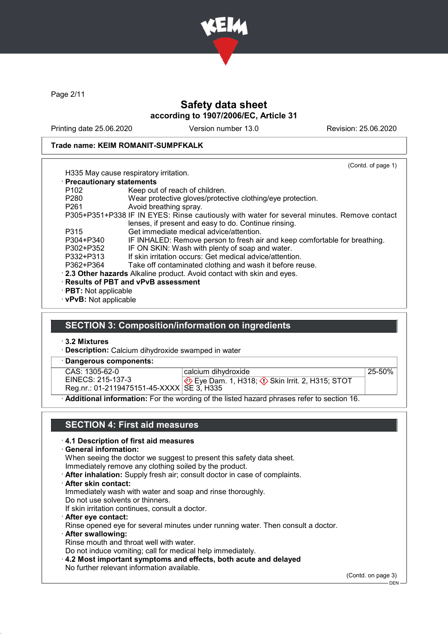

Page 2/11

## Safety data sheet according to 1907/2006/EC, Article 31

Printing date 25.06.2020 Version number 13.0 Revision: 25.06.2020

### Trade name: KEIM ROMANIT-SUMPFKALK

|                                                                         | (Contd. of page 1)                                                                         |  |  |
|-------------------------------------------------------------------------|--------------------------------------------------------------------------------------------|--|--|
|                                                                         | H335 May cause respiratory irritation.                                                     |  |  |
| · Precautionary statements                                              |                                                                                            |  |  |
| P <sub>102</sub>                                                        | Keep out of reach of children.                                                             |  |  |
| P <sub>280</sub>                                                        | Wear protective gloves/protective clothing/eye protection.                                 |  |  |
| P <sub>261</sub>                                                        | Avoid breathing spray.                                                                     |  |  |
|                                                                         | P305+P351+P338 IF IN EYES: Rinse cautiously with water for several minutes. Remove contact |  |  |
|                                                                         | lenses, if present and easy to do. Continue rinsing.                                       |  |  |
| P315                                                                    | Get immediate medical advice/attention.                                                    |  |  |
| P304+P340                                                               | IF INHALED: Remove person to fresh air and keep comfortable for breathing.                 |  |  |
| P302+P352                                                               | IF ON SKIN: Wash with plenty of soap and water.                                            |  |  |
| P332+P313                                                               | If skin irritation occurs: Get medical advice/attention.                                   |  |  |
| P362+P364                                                               | Take off contaminated clothing and wash it before reuse.                                   |  |  |
| . 2.3 Other hazards Alkaline product. Avoid contact with skin and eyes. |                                                                                            |  |  |
| · Results of PBT and vPvB assessment                                    |                                                                                            |  |  |
| $\cdot$ PBT: Not applicable                                             |                                                                                            |  |  |

· vPvB: Not applicable

## SECTION 3: Composition/information on ingredients

· 3.2 Mixtures

· Description: Calcium dihydroxide swamped in water

· Dangerous components:

| CAS: 1305-62-0    |
|-------------------|
| EINECS: 215-137-3 |

calcium dihydroxide

Reg.nr.: 01-2119475151-45-XXXX SE 3, H335 ♦ Eye Dam. 1, H318; ۞ Skin Irrit. 2, H315; STOT 25-50%

· Additional information: For the wording of the listed hazard phrases refer to section 16.

## SECTION 4: First aid measures

### · 4.1 Description of first aid measures

· General information:

When seeing the doctor we suggest to present this safety data sheet.

Immediately remove any clothing soiled by the product.

- · After inhalation: Supply fresh air; consult doctor in case of complaints.
- · After skin contact:

Immediately wash with water and soap and rinse thoroughly.

Do not use solvents or thinners.

If skin irritation continues, consult a doctor.

- · After eye contact: Rinse opened eye for several minutes under running water. Then consult a doctor.
- · After swallowing: Rinse mouth and throat well with water.

Do not induce vomiting; call for medical help immediately.

· 4.2 Most important symptoms and effects, both acute and delayed No further relevant information available.

(Contd. on page 3)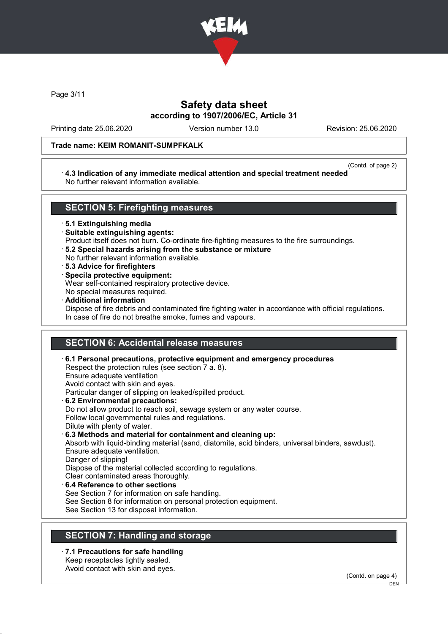

Page 3/11

## Safety data sheet according to 1907/2006/EC, Article 31

Printing date 25.06.2020 Version number 13.0 Revision: 25.06.2020

### Trade name: KEIM ROMANIT-SUMPFKALK

#### (Contd. of page 2)

### · 4.3 Indication of any immediate medical attention and special treatment needed No further relevant information available.

## SECTION 5: Firefighting measures

· 5.1 Extinguishing media

- · Suitable extinguishing agents:
- Product itself does not burn. Co-ordinate fire-fighting measures to the fire surroundings.
- · 5.2 Special hazards arising from the substance or mixture
- No further relevant information available.
- · 5.3 Advice for firefighters
- · Specila protective equipment:

Wear self-contained respiratory protective device.

- No special measures required.
- · Additional information Dispose of fire debris and contaminated fire fighting water in accordance with official regulations. In case of fire do not breathe smoke, fumes and vapours.

## SECTION 6: Accidental release measures

· 6.1 Personal precautions, protective equipment and emergency procedures Respect the protection rules (see section 7 a. 8). Ensure adequate ventilation Avoid contact with skin and eyes. Particular danger of slipping on leaked/spilled product. · 6.2 Environmental precautions: Do not allow product to reach soil, sewage system or any water course. Follow local governmental rules and regulations. Dilute with plenty of water. · 6.3 Methods and material for containment and cleaning up: Absorb with liquid-binding material (sand, diatomite, acid binders, universal binders, sawdust). Ensure adequate ventilation. Danger of slipping! Dispose of the material collected according to regulations. Clear contaminated areas thoroughly. 6.4 Reference to other sections See Section 7 for information on safe handling. See Section 8 for information on personal protection equipment. See Section 13 for disposal information.

## SECTION 7: Handling and storage

· 7.1 Precautions for safe handling Keep receptacles tightly sealed. Avoid contact with skin and eyes.

(Contd. on page 4)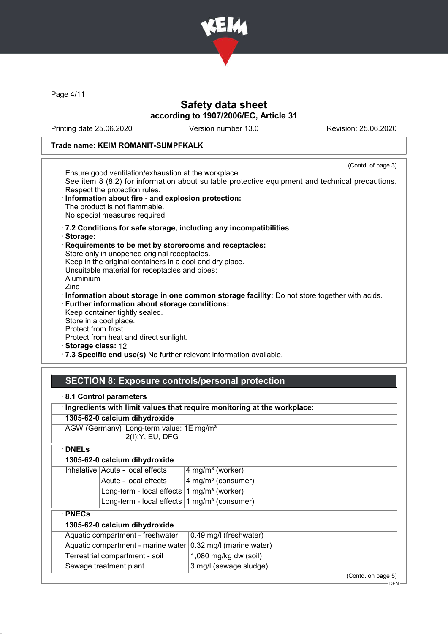

Page 4/11

## Safety data sheet according to 1907/2006/EC, Article 31

Printing date 25.06.2020 Version number 13.0 Revision: 25.06.2020

## Trade name: KEIM ROMANIT-SUMPFKALK

| (Contd. of page 3)                                                                              |
|-------------------------------------------------------------------------------------------------|
| Ensure good ventilation/exhaustion at the workplace.                                            |
| See item 8 (8.2) for information about suitable protective equipment and technical precautions. |
| Respect the protection rules.                                                                   |
| · Information about fire - and explosion protection:                                            |
| The product is not flammable.                                                                   |
| No special measures required.                                                                   |
| .7.2 Conditions for safe storage, including any incompatibilities                               |
| · Storage:                                                                                      |
| Requirements to be met by storerooms and receptacles:                                           |
| Store only in unopened original receptacles.                                                    |
| Keep in the original containers in a cool and dry place.                                        |
| Unsuitable material for receptacles and pipes:                                                  |
| Aluminium                                                                                       |
| Zinc                                                                                            |
| · Information about storage in one common storage facility: Do not store together with acids.   |
| · Further information about storage conditions:                                                 |
| Keep container tightly sealed.                                                                  |
| Store in a cool place.                                                                          |
| Protect from frost.                                                                             |
| Protect from heat and direct sunlight.                                                          |
| · Storage class: 12                                                                             |
|                                                                                                 |
| .7.3 Specific end use(s) No further relevant information available.                             |

# SECTION 8: Exposure controls/personal protection

|  |  |  | 8.1 Control parameters |
|--|--|--|------------------------|
|--|--|--|------------------------|

| Ingredients with limit values that require monitoring at the workplace: |                                                          |                                |  |  |
|-------------------------------------------------------------------------|----------------------------------------------------------|--------------------------------|--|--|
| 1305-62-0 calcium dihydroxide                                           |                                                          |                                |  |  |
| AGW (Germany) Long-term value: 1E mg/m <sup>3</sup><br>2(I); Y, EU, DFG |                                                          |                                |  |  |
| <b>DNELs</b>                                                            |                                                          |                                |  |  |
|                                                                         | 1305-62-0 calcium dihydroxide                            |                                |  |  |
|                                                                         | Inhalative   Acute - local effects                       | $4$ mg/m <sup>3</sup> (worker) |  |  |
|                                                                         | Acute - local effects                                    | 4 mg/m <sup>3</sup> (consumer) |  |  |
|                                                                         | Long-term - local effects $1$ mg/m <sup>3</sup> (worker) |                                |  |  |
|                                                                         | Long-term - local effects                                | 1 mg/m <sup>3</sup> (consumer) |  |  |
| $\cdot$ PNECs                                                           |                                                          |                                |  |  |
| 1305-62-0 calcium dihydroxide                                           |                                                          |                                |  |  |
| Aquatic compartment - freshwater                                        |                                                          | 0.49 mg/l (freshwater)         |  |  |
| Aquatic compartment - marine water                                      |                                                          | 0.32 mg/l (marine water)       |  |  |
| Terrestrial compartment - soil                                          |                                                          | 1,080 mg/kg dw (soil)          |  |  |
| Sewage treatment plant                                                  |                                                          | 3 mg/l (sewage sludge)         |  |  |
|                                                                         |                                                          | (Contd. on page 5)             |  |  |

DEN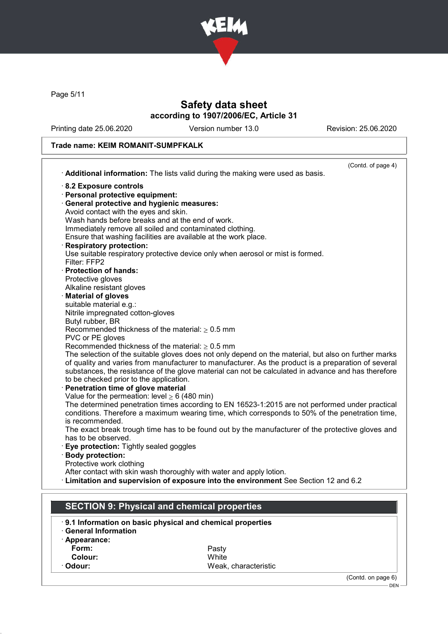

Page 5/11

## Safety data sheet according to 1907/2006/EC, Article 31

Printing date 25.06.2020 Version number 13.0 Revision: 25.06.2020

## Trade name: KEIM ROMANIT-SUMPFKALK

|                                                    |                                                                                                      | (Contd. of page 4) |
|----------------------------------------------------|------------------------------------------------------------------------------------------------------|--------------------|
|                                                    | Additional information: The lists valid during the making were used as basis.                        |                    |
| 8.2 Exposure controls                              |                                                                                                      |                    |
| · Personal protective equipment:                   |                                                                                                      |                    |
| · General protective and hygienic measures:        |                                                                                                      |                    |
| Avoid contact with the eyes and skin.              |                                                                                                      |                    |
| Wash hands before breaks and at the end of work.   |                                                                                                      |                    |
|                                                    | Immediately remove all soiled and contaminated clothing.                                             |                    |
|                                                    | Ensure that washing facilities are available at the work place.                                      |                    |
| <b>Respiratory protection:</b>                     |                                                                                                      |                    |
| Filter: FFP2                                       | Use suitable respiratory protective device only when aerosol or mist is formed.                      |                    |
| · Protection of hands:                             |                                                                                                      |                    |
| Protective gloves                                  |                                                                                                      |                    |
| Alkaline resistant gloves                          |                                                                                                      |                    |
| <b>Material of gloves</b>                          |                                                                                                      |                    |
| suitable material e.g.:                            |                                                                                                      |                    |
| Nitrile impregnated cotton-gloves                  |                                                                                                      |                    |
| Butyl rubber, BR                                   |                                                                                                      |                    |
|                                                    | Recommended thickness of the material: $\geq 0.5$ mm                                                 |                    |
| PVC or PE gloves                                   |                                                                                                      |                    |
|                                                    | Recommended thickness of the material: $\geq 0.5$ mm                                                 |                    |
|                                                    | The selection of the suitable gloves does not only depend on the material, but also on further marks |                    |
|                                                    | of quality and varies from manufacturer to manufacturer. As the product is a preparation of several  |                    |
|                                                    | substances, the resistance of the glove material can not be calculated in advance and has therefore  |                    |
| to be checked prior to the application.            |                                                                                                      |                    |
| Penetration time of glove material                 |                                                                                                      |                    |
| Value for the permeation: level $\geq 6$ (480 min) | The determined penetration times according to EN 16523-1:2015 are not performed under practical      |                    |
|                                                    | conditions. Therefore a maximum wearing time, which corresponds to 50% of the penetration time,      |                    |
| is recommended.                                    |                                                                                                      |                    |
|                                                    | The exact break trough time has to be found out by the manufacturer of the protective gloves and     |                    |
| has to be observed.                                |                                                                                                      |                    |
| Eye protection: Tightly sealed goggles             |                                                                                                      |                    |
| · Body protection:                                 |                                                                                                      |                    |
| Protective work clothing                           |                                                                                                      |                    |
|                                                    | After contact with skin wash thoroughly with water and apply lotion.                                 |                    |
|                                                    | Example 12 and supervision of exposure into the environment See Section 12 and 6.2                   |                    |
|                                                    |                                                                                                      |                    |
|                                                    |                                                                                                      |                    |
|                                                    | <b>SECTION 9: Physical and chemical properties</b>                                                   |                    |
|                                                    | 9.1 Information on basic physical and chemical properties                                            |                    |
| <b>General Information</b>                         |                                                                                                      |                    |
| · Appearance:                                      |                                                                                                      |                    |
| Form:                                              | Pasty                                                                                                |                    |
| <b>Colour:</b>                                     | White                                                                                                |                    |

Colour:<br>Odour:

Weak, characteristic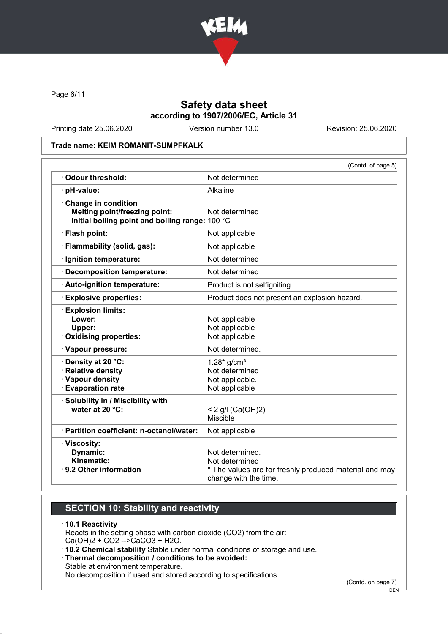

Page 6/11

## Safety data sheet according to 1907/2006/EC, Article 31

Printing date 25.06.2020 Version number 13.0 Revision: 25.06.2020

### Trade name: KEIM ROMANIT-SUMPFKALK

|                                                                                                                | (Contd. of page 5)                                                                                                   |
|----------------------------------------------------------------------------------------------------------------|----------------------------------------------------------------------------------------------------------------------|
| · Odour threshold:                                                                                             | Not determined                                                                                                       |
| · pH-value:                                                                                                    | Alkaline                                                                                                             |
| Change in condition<br><b>Melting point/freezing point:</b><br>Initial boiling point and boiling range: 100 °C | Not determined                                                                                                       |
| · Flash point:                                                                                                 | Not applicable                                                                                                       |
| · Flammability (solid, gas):                                                                                   | Not applicable                                                                                                       |
| · Ignition temperature:                                                                                        | Not determined                                                                                                       |
| · Decomposition temperature:                                                                                   | Not determined                                                                                                       |
| Auto-ignition temperature:                                                                                     | Product is not selfigniting.                                                                                         |
| <b>Explosive properties:</b>                                                                                   | Product does not present an explosion hazard.                                                                        |
| <b>Explosion limits:</b><br>Lower:<br>Upper:<br>· Oxidising properties:                                        | Not applicable<br>Not applicable<br>Not applicable                                                                   |
| · Vapour pressure:                                                                                             | Not determined.                                                                                                      |
| · Density at 20 °C:<br>· Relative density<br>· Vapour density<br><b>Evaporation rate</b>                       | $1.28*$ g/cm <sup>3</sup><br>Not determined<br>Not applicable.<br>Not applicable                                     |
| · Solubility in / Miscibility with<br>water at 20 °C:                                                          | < 2 g/l (Ca(OH)2)<br><b>Miscible</b>                                                                                 |
| · Partition coefficient: n-octanol/water:                                                                      | Not applicable                                                                                                       |
| · Viscosity:<br>Dynamic:<br>Kinematic:<br>⋅ 9.2 Other information                                              | Not determined.<br>Not determined<br>* The values are for freshly produced material and may<br>change with the time. |

## SECTION 10: Stability and reactivity

### · 10.1 Reactivity

Reacts in the setting phase with carbon dioxide (CO2) from the air: Ca(OH)2 + CO2 -->CaCO3 + H2O.

- · 10.2 Chemical stability Stable under normal conditions of storage and use.
- · Thermal decomposition / conditions to be avoided:

Stable at environment temperature.

No decomposition if used and stored according to specifications.

(Contd. on page 7)

<sup>.&</sup>lt;br>- DEN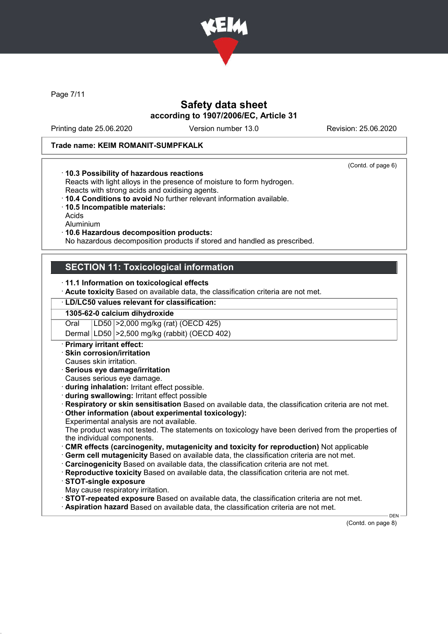

Page 7/11

## Safety data sheet according to 1907/2006/EC, Article 31

Printing date 25.06.2020 Version number 13.0 Revision: 25.06.2020

(Contd. of page 6)

### Trade name: KEIM ROMANIT-SUMPFKALK

### · 10.3 Possibility of hazardous reactions

Reacts with light alloys in the presence of moisture to form hydrogen. Reacts with strong acids and oxidising agents.

- · 10.4 Conditions to avoid No further relevant information available.
- · 10.5 Incompatible materials:
- Acids
- Aluminium

### · 10.6 Hazardous decomposition products:

No hazardous decomposition products if stored and handled as prescribed.

## SECTION 11: Toxicological information

### · 11.1 Information on toxicological effects

· Acute toxicity Based on available data, the classification criteria are not met.

#### · LD/LC50 values relevant for classification:

1305-62-0 calcium dihydroxide Oral LD50 >2,000 mg/kg (rat) (OECD 425)

Dermal LD50 >2,500 mg/kg (rabbit) (OECD 402)

- **Primary irritant effect:**
- · Skin corrosion/irritation
- Causes skin irritation.
- · Serious eye damage/irritation
- Causes serious eye damage.
- · during inhalation: Irritant effect possible.
- · during swallowing: Irritant effect possible

· Respiratory or skin sensitisation Based on available data, the classification criteria are not met.

· Other information (about experimental toxicology):

Experimental analysis are not available.

The product was not tested. The statements on toxicology have been derived from the properties of the individual components.

- · CMR effects (carcinogenity, mutagenicity and toxicity for reproduction) Not applicable
- · Germ cell mutagenicity Based on available data, the classification criteria are not met.
- · Carcinogenicity Based on available data, the classification criteria are not met.
- · Reproductive toxicity Based on available data, the classification criteria are not met.
- · STOT-single exposure
- May cause respiratory irritation.

· STOT-repeated exposure Based on available data, the classification criteria are not met.

· Aspiration hazard Based on available data, the classification criteria are not met.

(Contd. on page 8)

DEN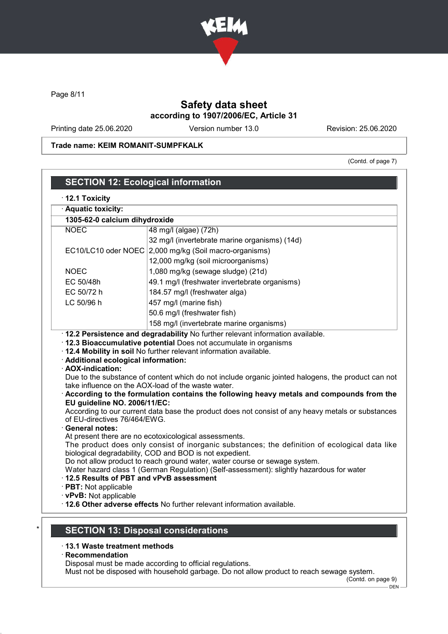

Page 8/11

## Safety data sheet according to 1907/2006/EC, Article 31

Printing date 25.06.2020 Version number 13.0 Revision: 25.06.2020

Trade name: KEIM ROMANIT-SUMPFKALK

(Contd. of page 7)

| 1305-62-0 calcium dihydroxide                                                  |                                                                                                                                                                                                                                                                                                                                                                                                                   |
|--------------------------------------------------------------------------------|-------------------------------------------------------------------------------------------------------------------------------------------------------------------------------------------------------------------------------------------------------------------------------------------------------------------------------------------------------------------------------------------------------------------|
| <b>NOEC</b>                                                                    | 48 mg/l (algae) (72h)                                                                                                                                                                                                                                                                                                                                                                                             |
|                                                                                | 32 mg/l (invertebrate marine organisms) (14d)                                                                                                                                                                                                                                                                                                                                                                     |
|                                                                                | EC10/LC10 oder NOEC 2,000 mg/kg (Soil macro-organisms)                                                                                                                                                                                                                                                                                                                                                            |
|                                                                                | 12,000 mg/kg (soil microorganisms)                                                                                                                                                                                                                                                                                                                                                                                |
| <b>NOEC</b>                                                                    | 1,080 mg/kg (sewage sludge) (21d)                                                                                                                                                                                                                                                                                                                                                                                 |
| EC 50/48h                                                                      | 49.1 mg/l (freshwater invertebrate organisms)                                                                                                                                                                                                                                                                                                                                                                     |
| EC 50/72 h<br>LC 50/96 h                                                       | 184.57 mg/l (freshwater alga)                                                                                                                                                                                                                                                                                                                                                                                     |
|                                                                                | 457 mg/l (marine fish)                                                                                                                                                                                                                                                                                                                                                                                            |
|                                                                                | 50.6 mg/l (freshwater fish)                                                                                                                                                                                                                                                                                                                                                                                       |
|                                                                                | 158 mg/l (invertebrate marine organisms)<br>· 12.2 Persistence and degradability No further relevant information available.                                                                                                                                                                                                                                                                                       |
| · Additional ecological information:<br>· AOX-indication:                      | · 12.3 Bioaccumulative potential Does not accumulate in organisms<br>. 12.4 Mobility in soil No further relevant information available.<br>Due to the substance of content which do not include organic jointed halogens, the product can not<br>take influence on the AOX-load of the waste water.                                                                                                               |
| EU guideline NO. 2006/11/EC:<br>of EU-directives 76/464/EWG.<br>General notes: | According to the formulation contains the following heavy metals and compounds from the<br>According to our current data base the product does not consist of any heavy metals or substances<br>At present there are no ecotoxicological assessments.<br>The product does only consist of inorganic substances; the definition of ecological data like<br>biological degradability, COD and BOD is not expedient. |

### · 13.1 Waste treatment methods

· Recommendation

Disposal must be made according to official regulations.

Must not be disposed with household garbage. Do not allow product to reach sewage system.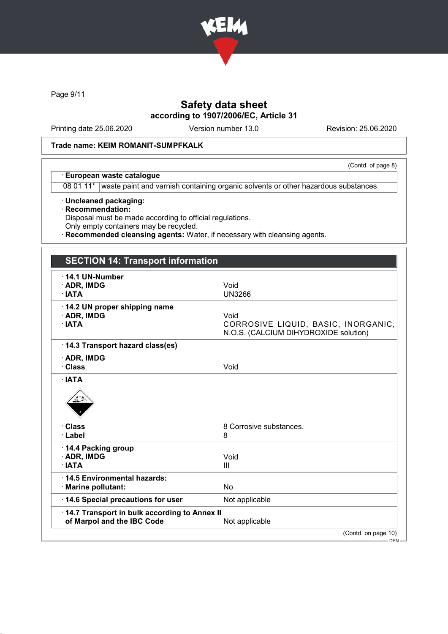

Page 9/11

## Safety data sheet according to 1907/2006/EC, Article 31

Printing date 25.06.2020 Version number 13.0 Revision: 25.06.2020

(Contd. of page 8)

### Trade name: KEIM ROMANIT-SUMPFKALK

### · European waste catalogue

08 01 11\* waste paint and varnish containing organic solvents or other hazardous substances

- · Uncleaned packaging:
- · Recommendation:

Disposal must be made according to official regulations.

- Only empty containers may be recycled.
- **Recommended cleansing agents:** Water, if necessary with cleansing agents.

## SECTION 14: Transport information · 14.1 UN-Number · ADR, IMDG Void · IATA UN3266 · 14.2 UN proper shipping name · ADR, IMDG Void CORROSIVE LIQUID, BASIC, INORGANIC, N.O.S. (CALCIUM DIHYDROXIDE solution) · 14.3 Transport hazard class(es) · ADR, IMDG · Class Void · IATA • Class 8 Corrosive substances. · Label 8 · 14.4 Packing group · ADR, IMDG Void  $\cdot$  IATA · 14.5 Environmental hazards: · Marine pollutant: No · 14.6 Special precautions for user Not applicable · 14.7 Transport in bulk according to Annex II of Marpol and the IBC Code Not applicable (Contd. on page 10)

DEN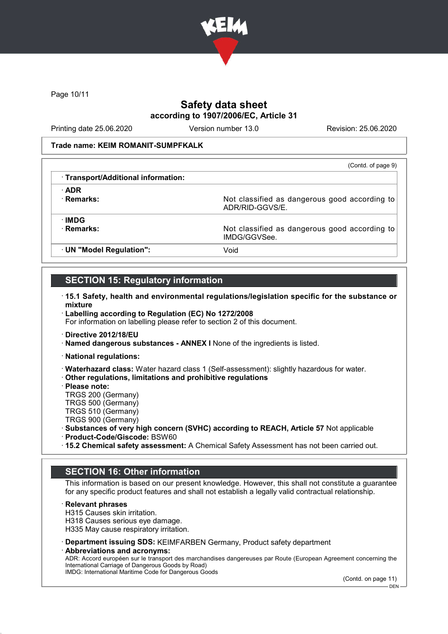

Page 10/11

## Safety data sheet according to 1907/2006/EC, Article 31

Printing date 25.06.2020 Version number 13.0 Revision: 25.06.2020

### Trade name: KEIM ROMANIT-SUMPFKALK

| (Contd. of page 9)                            |
|-----------------------------------------------|
|                                               |
|                                               |
| Not classified as dangerous good according to |
|                                               |
| Not classified as dangerous good according to |
|                                               |
|                                               |

## SECTION 15: Regulatory information

- · 15.1 Safety, health and environmental regulations/legislation specific for the substance or mixture
- · Labelling according to Regulation (EC) No 1272/2008 For information on labelling please refer to section 2 of this document.
- · Directive 2012/18/EU
- · Named dangerous substances ANNEX I None of the ingredients is listed.
- · National regulations:
- · Waterhazard class: Water hazard class 1 (Self-assessment): slightly hazardous for water.
- · Other regulations, limitations and prohibitive regulations
- · Please note:
- TRGS 200 (Germany)
- TRGS 500 (Germany)
- TRGS 510 (Germany)
- TRGS 900 (Germany)
- · Substances of very high concern (SVHC) according to REACH, Article 57 Not applicable
- · Product-Code/Giscode: BSW60
- · 15.2 Chemical safety assessment: A Chemical Safety Assessment has not been carried out.

## SECTION 16: Other information

This information is based on our present knowledge. However, this shall not constitute a guarantee for any specific product features and shall not establish a legally valid contractual relationship.

### · Relevant phrases

- H315 Causes skin irritation.
- H318 Causes serious eye damage.
- H335 May cause respiratory irritation.
- · Department issuing SDS: KEIMFARBEN Germany, Product safety department
- · Abbreviations and acronyms:

ADR: Accord européen sur le transport des marchandises dangereuses par Route (European Agreement concerning the International Carriage of Dangerous Goods by Road) IMDG: International Maritime Code for Dangerous Goods

(Contd. on page 11)